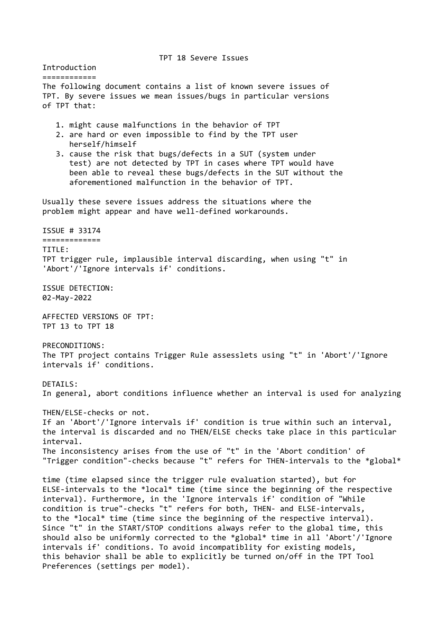TPT 18 Severe Issues Introduction ============ The following document contains a list of known severe issues of TPT. By severe issues we mean issues/bugs in particular versions of TPT that: 1. might cause malfunctions in the behavior of TPT 2. are hard or even impossible to find by the TPT user herself/himself 3. cause the risk that bugs/defects in a SUT (system under test) are not detected by TPT in cases where TPT would have been able to reveal these bugs/defects in the SUT without the aforementioned malfunction in the behavior of TPT. Usually these severe issues address the situations where the problem might appear and have well-defined workarounds. ISSUE # 33174 ============= TITLE: TPT trigger rule, implausible interval discarding, when using "t" in 'Abort'/'Ignore intervals if' conditions. ISSUE DETECTION: 02-May-2022 AFFECTED VERSIONS OF TPT: TPT 13 to TPT 18 PRECONDITIONS: The TPT project contains Trigger Rule assesslets using "t" in 'Abort'/'Ignore intervals if' conditions. DETATI S. In general, abort conditions influence whether an interval is used for analyzing THEN/ELSE-checks or not. If an 'Abort'/'Ignore intervals if' condition is true within such an interval, the interval is discarded and no THEN/ELSE checks take place in this particular interval. The inconsistency arises from the use of "t" in the 'Abort condition' of "Trigger condition"-checks because "t" refers for THEN-intervals to the \*global\* time (time elapsed since the trigger rule evaluation started), but for ELSE-intervals to the \*local\* time (time since the beginning of the respective interval). Furthermore, in the 'Ignore intervals if' condition of "While condition is true"-checks "t" refers for both, THEN- and ELSE-intervals, to the \*local\* time (time since the beginning of the respective interval). Since "t" in the START/STOP conditions always refer to the global time, this should also be uniformly corrected to the \*global\* time in all 'Abort'/'Ignore intervals if' conditions. To avoid incompatiblity for existing models, this behavior shall be able to explicitly be turned on/off in the TPT Tool Preferences (settings per model).